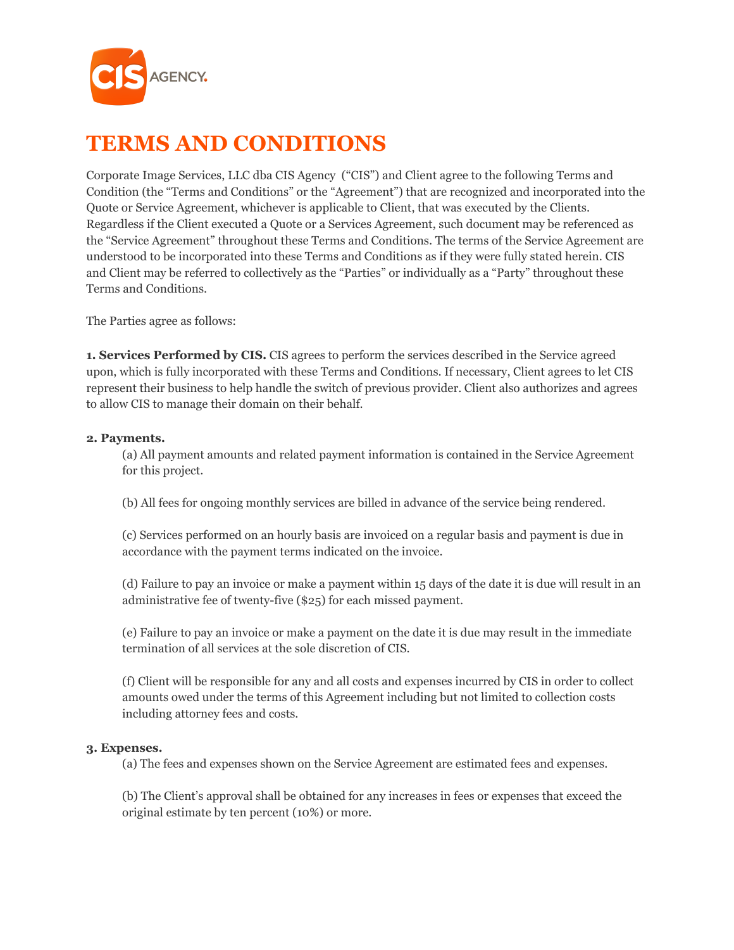

# **TERMS AND CONDITIONS**

Corporate Image Services, LLC dba CIS Agency ("CIS") and Client agree to the following Terms and Condition (the "Terms and Conditions" or the "Agreement") that are recognized and incorporated into the Quote or Service Agreement, whichever is applicable to Client, that was executed by the Clients. Regardless if the Client executed a Quote or a Services Agreement, such document may be referenced as the "Service Agreement" throughout these Terms and Conditions. The terms of the Service Agreement are understood to be incorporated into these Terms and Conditions as if they were fully stated herein. CIS and Client may be referred to collectively as the "Parties" or individually as a "Party" throughout these Terms and Conditions.

The Parties agree as follows:

**1. Services Performed by CIS.** CIS agrees to perform the services described in the Service agreed upon, which is fully incorporated with these Terms and Conditions. If necessary, Client agrees to let CIS represent their business to help handle the switch of previous provider. Client also authorizes and agrees to allow CIS to manage their domain on their behalf.

## **2. Payments.**

(a) All payment amounts and related payment information is contained in the Service Agreement for this project.

(b) All fees for ongoing monthly services are billed in advance of the service being rendered.

(c) Services performed on an hourly basis are invoiced on a regular basis and payment is due in accordance with the payment terms indicated on the invoice.

(d) Failure to pay an invoice or make a payment within 15 days of the date it is due will result in an administrative fee of twenty-five (\$25) for each missed payment.

(e) Failure to pay an invoice or make a payment on the date it is due may result in the immediate termination of all services at the sole discretion of CIS.

(f) Client will be responsible for any and all costs and expenses incurred by CIS in order to collect amounts owed under the terms of this Agreement including but not limited to collection costs including attorney fees and costs.

# **3. Expenses.**

(a) The fees and expenses shown on the Service Agreement are estimated fees and expenses.

(b) The Client's approval shall be obtained for any increases in fees or expenses that exceed the original estimate by ten percent (10%) or more.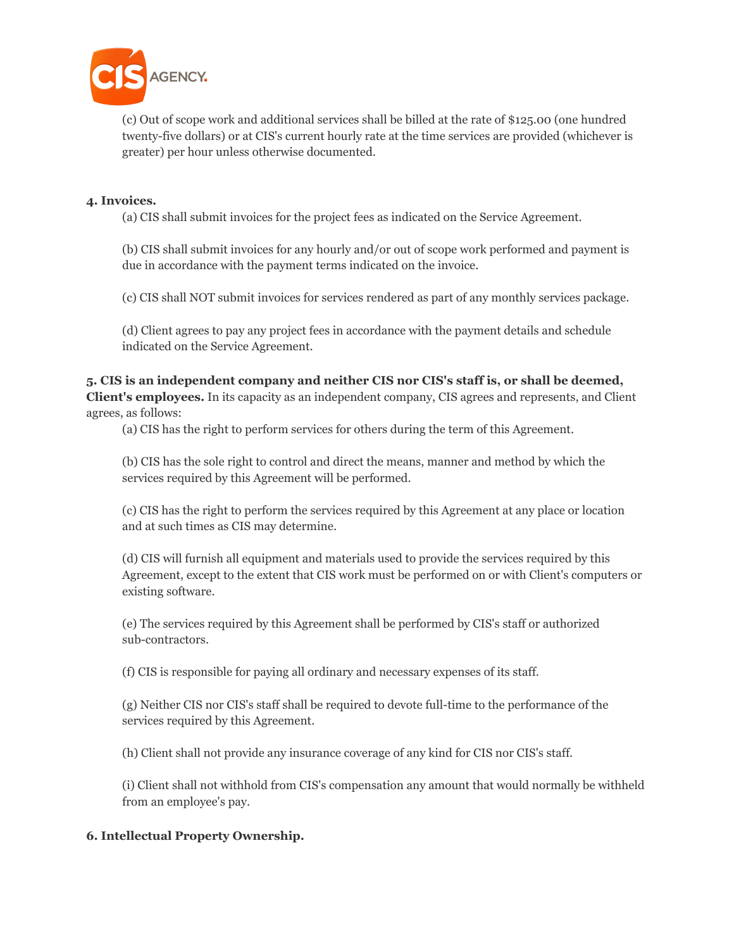

(c) Out of scope work and additional services shall be billed at the rate of \$125.00 (one hundred twenty-five dollars) or at CIS's current hourly rate at the time services are provided (whichever is greater) per hour unless otherwise documented.

## **4. Invoices.**

(a) CIS shall submit invoices for the project fees as indicated on the Service Agreement.

(b) CIS shall submit invoices for any hourly and/or out of scope work performed and payment is due in accordance with the payment terms indicated on the invoice.

(c) CIS shall NOT submit invoices for services rendered as part of any monthly services package.

(d) Client agrees to pay any project fees in accordance with the payment details and schedule indicated on the Service Agreement.

**5. CIS is an independent company and neither CIS nor CIS's staff is, or shall be deemed, Client's employees.** In its capacity as an independent company, CIS agrees and represents, and Client agrees, as follows:

(a) CIS has the right to perform services for others during the term of this Agreement.

(b) CIS has the sole right to control and direct the means, manner and method by which the services required by this Agreement will be performed.

(c) CIS has the right to perform the services required by this Agreement at any place or location and at such times as CIS may determine.

(d) CIS will furnish all equipment and materials used to provide the services required by this Agreement, except to the extent that CIS work must be performed on or with Client's computers or existing software.

(e) The services required by this Agreement shall be performed by CIS's staff or authorized sub-contractors.

(f) CIS is responsible for paying all ordinary and necessary expenses of its staff.

(g) Neither CIS nor CIS's staff shall be required to devote full-time to the performance of the services required by this Agreement.

(h) Client shall not provide any insurance coverage of any kind for CIS nor CIS's staff.

(i) Client shall not withhold from CIS's compensation any amount that would normally be withheld from an employee's pay.

## **6. Intellectual Property Ownership.**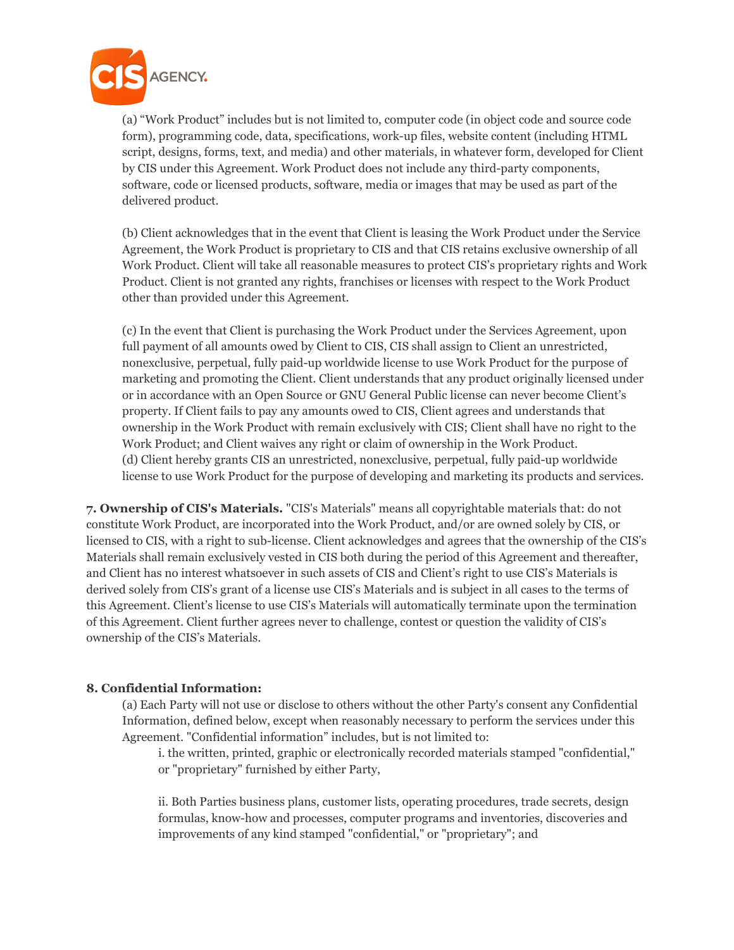

(a) "Work Product" includes but is not limited to, computer code (in object code and source code form), programming code, data, specifications, work-up files, website content (including HTML script, designs, forms, text, and media) and other materials, in whatever form, developed for Client by CIS under this Agreement. Work Product does not include any third-party components, software, code or licensed products, software, media or images that may be used as part of the delivered product.

(b) Client acknowledges that in the event that Client is leasing the Work Product under the Service Agreement, the Work Product is proprietary to CIS and that CIS retains exclusive ownership of all Work Product. Client will take all reasonable measures to protect CIS's proprietary rights and Work Product. Client is not granted any rights, franchises or licenses with respect to the Work Product other than provided under this Agreement.

(c) In the event that Client is purchasing the Work Product under the Services Agreement, upon full payment of all amounts owed by Client to CIS, CIS shall assign to Client an unrestricted, nonexclusive, perpetual, fully paid-up worldwide license to use Work Product for the purpose of marketing and promoting the Client. Client understands that any product originally licensed under or in accordance with an Open Source or GNU General Public license can never become Client's property. If Client fails to pay any amounts owed to CIS, Client agrees and understands that ownership in the Work Product with remain exclusively with CIS; Client shall have no right to the Work Product; and Client waives any right or claim of ownership in the Work Product. (d) Client hereby grants CIS an unrestricted, nonexclusive, perpetual, fully paid-up worldwide license to use Work Product for the purpose of developing and marketing its products and services.

**7. Ownership of CIS's Materials.** "CIS's Materials" means all copyrightable materials that: do not constitute Work Product, are incorporated into the Work Product, and/or are owned solely by CIS, or licensed to CIS, with a right to sub-license. Client acknowledges and agrees that the ownership of the CIS's Materials shall remain exclusively vested in CIS both during the period of this Agreement and thereafter, and Client has no interest whatsoever in such assets of CIS and Client's right to use CIS's Materials is derived solely from CIS's grant of a license use CIS's Materials and is subject in all cases to the terms of this Agreement. Client's license to use CIS's Materials will automatically terminate upon the termination of this Agreement. Client further agrees never to challenge, contest or question the validity of CIS's ownership of the CIS's Materials.

## **8. Confidential Information:**

(a) Each Party will not use or disclose to others without the other Party's consent any Confidential Information, defined below, except when reasonably necessary to perform the services under this Agreement. "Confidential information" includes, but is not limited to:

i. the written, printed, graphic or electronically recorded materials stamped "confidential," or "proprietary" furnished by either Party,

ii. Both Parties business plans, customer lists, operating procedures, trade secrets, design formulas, know-how and processes, computer programs and inventories, discoveries and improvements of any kind stamped "confidential," or "proprietary"; and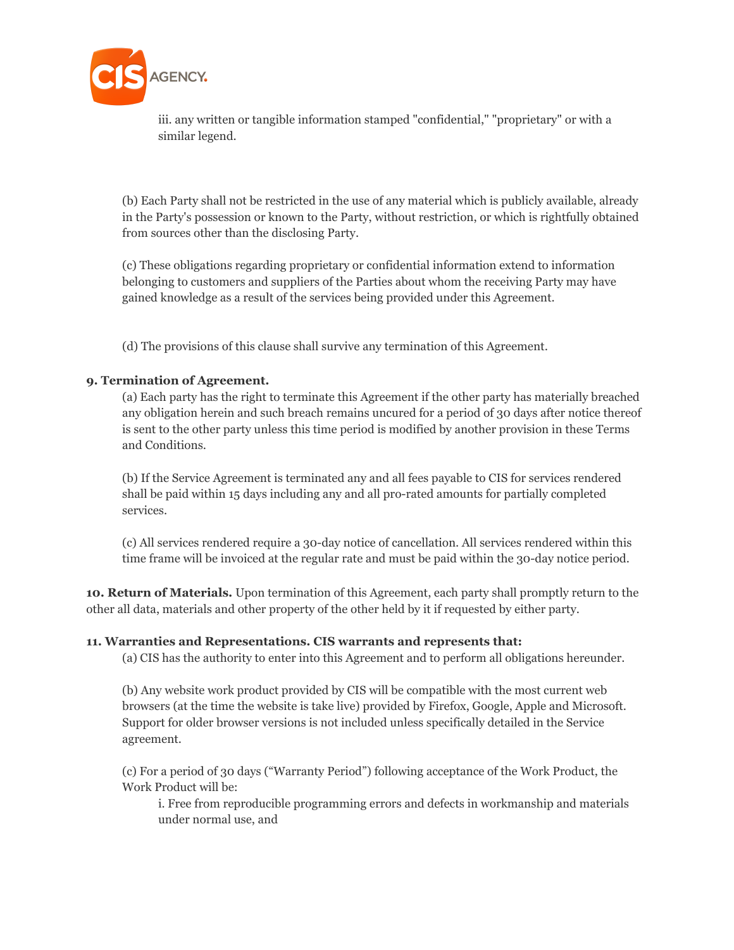

iii. any written or tangible information stamped "confidential," "proprietary" or with a similar legend.

(b) Each Party shall not be restricted in the use of any material which is publicly available, already in the Party's possession or known to the Party, without restriction, or which is rightfully obtained from sources other than the disclosing Party.

(c) These obligations regarding proprietary or confidential information extend to information belonging to customers and suppliers of the Parties about whom the receiving Party may have gained knowledge as a result of the services being provided under this Agreement.

(d) The provisions of this clause shall survive any termination of this Agreement.

## **9. Termination of Agreement.**

(a) Each party has the right to terminate this Agreement if the other party has materially breached any obligation herein and such breach remains uncured for a period of 30 days after notice thereof is sent to the other party unless this time period is modified by another provision in these Terms and Conditions.

(b) If the Service Agreement is terminated any and all fees payable to CIS for services rendered shall be paid within 15 days including any and all pro-rated amounts for partially completed services.

(c) All services rendered require a 30-day notice of cancellation. All services rendered within this time frame will be invoiced at the regular rate and must be paid within the 30-day notice period.

**10. Return of Materials.** Upon termination of this Agreement, each party shall promptly return to the other all data, materials and other property of the other held by it if requested by either party.

## **11. Warranties and Representations. CIS warrants and represents that:**

(a) CIS has the authority to enter into this Agreement and to perform all obligations hereunder.

(b) Any website work product provided by CIS will be compatible with the most current web browsers (at the time the website is take live) provided by Firefox, Google, Apple and Microsoft. Support for older browser versions is not included unless specifically detailed in the Service agreement.

(c) For a period of 30 days ("Warranty Period") following acceptance of the Work Product, the Work Product will be:

i. Free from reproducible programming errors and defects in workmanship and materials under normal use, and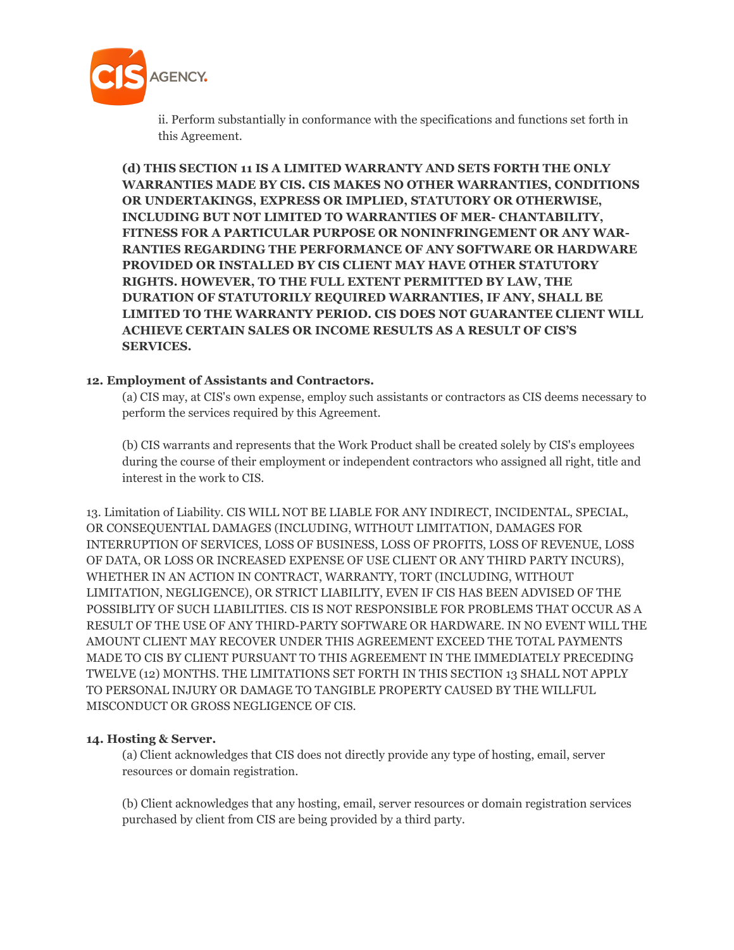

ii. Perform substantially in conformance with the specifications and functions set forth in this Agreement.

**(d) THIS SECTION 11 IS A LIMITED WARRANTY AND SETS FORTH THE ONLY WARRANTIES MADE BY CIS. CIS MAKES NO OTHER WARRANTIES, CONDITIONS OR UNDERTAKINGS, EXPRESS OR IMPLIED, STATUTORY OR OTHERWISE, INCLUDING BUT NOT LIMITED TO WARRANTIES OF MER- CHANTABILITY, FITNESS FOR A PARTICULAR PURPOSE OR NONINFRINGEMENT OR ANY WAR-RANTIES REGARDING THE PERFORMANCE OF ANY SOFTWARE OR HARDWARE PROVIDED OR INSTALLED BY CIS CLIENT MAY HAVE OTHER STATUTORY RIGHTS. HOWEVER, TO THE FULL EXTENT PERMITTED BY LAW, THE DURATION OF STATUTORILY REQUIRED WARRANTIES, IF ANY, SHALL BE LIMITED TO THE WARRANTY PERIOD. CIS DOES NOT GUARANTEE CLIENT WILL ACHIEVE CERTAIN SALES OR INCOME RESULTS AS A RESULT OF CIS'S SERVICES.**

#### **12. Employment of Assistants and Contractors.**

(a) CIS may, at CIS's own expense, employ such assistants or contractors as CIS deems necessary to perform the services required by this Agreement.

(b) CIS warrants and represents that the Work Product shall be created solely by CIS's employees during the course of their employment or independent contractors who assigned all right, title and interest in the work to CIS.

13. Limitation of Liability. CIS WILL NOT BE LIABLE FOR ANY INDIRECT, INCIDENTAL, SPECIAL, OR CONSEQUENTIAL DAMAGES (INCLUDING, WITHOUT LIMITATION, DAMAGES FOR INTERRUPTION OF SERVICES, LOSS OF BUSINESS, LOSS OF PROFITS, LOSS OF REVENUE, LOSS OF DATA, OR LOSS OR INCREASED EXPENSE OF USE CLIENT OR ANY THIRD PARTY INCURS), WHETHER IN AN ACTION IN CONTRACT, WARRANTY, TORT (INCLUDING, WITHOUT LIMITATION, NEGLIGENCE), OR STRICT LIABILITY, EVEN IF CIS HAS BEEN ADVISED OF THE POSSIBLITY OF SUCH LIABILITIES. CIS IS NOT RESPONSIBLE FOR PROBLEMS THAT OCCUR AS A RESULT OF THE USE OF ANY THIRD-PARTY SOFTWARE OR HARDWARE. IN NO EVENT WILL THE AMOUNT CLIENT MAY RECOVER UNDER THIS AGREEMENT EXCEED THE TOTAL PAYMENTS MADE TO CIS BY CLIENT PURSUANT TO THIS AGREEMENT IN THE IMMEDIATELY PRECEDING TWELVE (12) MONTHS. THE LIMITATIONS SET FORTH IN THIS SECTION 13 SHALL NOT APPLY TO PERSONAL INJURY OR DAMAGE TO TANGIBLE PROPERTY CAUSED BY THE WILLFUL MISCONDUCT OR GROSS NEGLIGENCE OF CIS.

## **14. Hosting & Server.**

(a) Client acknowledges that CIS does not directly provide any type of hosting, email, server resources or domain registration.

(b) Client acknowledges that any hosting, email, server resources or domain registration services purchased by client from CIS are being provided by a third party.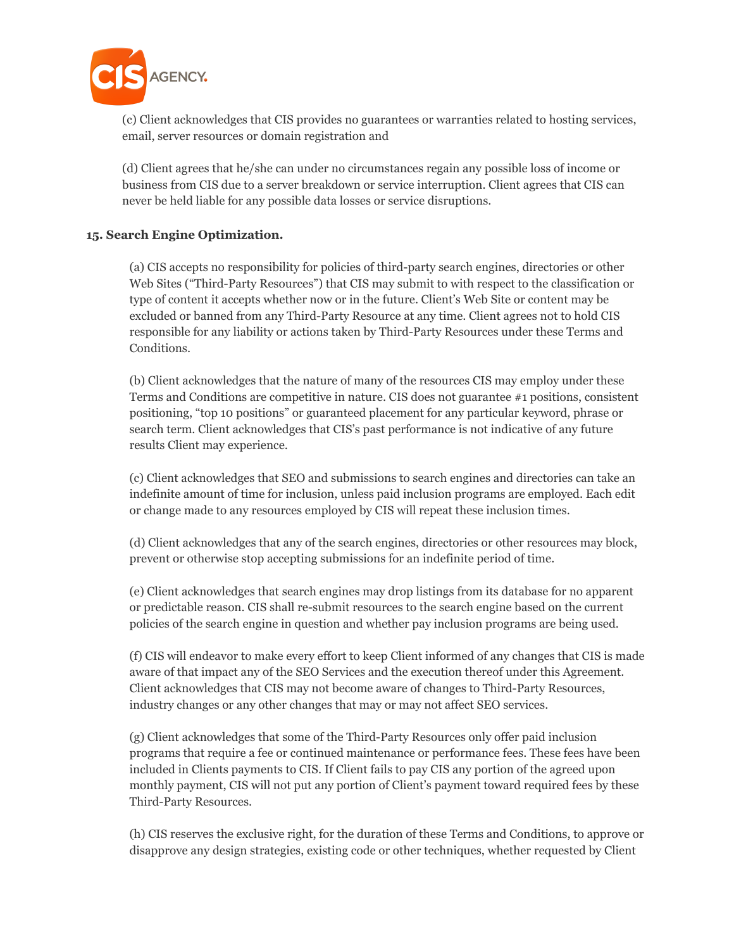

(c) Client acknowledges that CIS provides no guarantees or warranties related to hosting services, email, server resources or domain registration and

(d) Client agrees that he/she can under no circumstances regain any possible loss of income or business from CIS due to a server breakdown or service interruption. Client agrees that CIS can never be held liable for any possible data losses or service disruptions.

## **15. Search Engine Optimization.**

(a) CIS accepts no responsibility for policies of third-party search engines, directories or other Web Sites ("Third-Party Resources") that CIS may submit to with respect to the classification or type of content it accepts whether now or in the future. Client's Web Site or content may be excluded or banned from any Third-Party Resource at any time. Client agrees not to hold CIS responsible for any liability or actions taken by Third-Party Resources under these Terms and Conditions.

(b) Client acknowledges that the nature of many of the resources CIS may employ under these Terms and Conditions are competitive in nature. CIS does not guarantee #1 positions, consistent positioning, "top 10 positions" or guaranteed placement for any particular keyword, phrase or search term. Client acknowledges that CIS's past performance is not indicative of any future results Client may experience.

(c) Client acknowledges that SEO and submissions to search engines and directories can take an indefinite amount of time for inclusion, unless paid inclusion programs are employed. Each edit or change made to any resources employed by CIS will repeat these inclusion times.

(d) Client acknowledges that any of the search engines, directories or other resources may block, prevent or otherwise stop accepting submissions for an indefinite period of time.

(e) Client acknowledges that search engines may drop listings from its database for no apparent or predictable reason. CIS shall re-submit resources to the search engine based on the current policies of the search engine in question and whether pay inclusion programs are being used.

(f) CIS will endeavor to make every effort to keep Client informed of any changes that CIS is made aware of that impact any of the SEO Services and the execution thereof under this Agreement. Client acknowledges that CIS may not become aware of changes to Third-Party Resources, industry changes or any other changes that may or may not affect SEO services.

(g) Client acknowledges that some of the Third-Party Resources only offer paid inclusion programs that require a fee or continued maintenance or performance fees. These fees have been included in Clients payments to CIS. If Client fails to pay CIS any portion of the agreed upon monthly payment, CIS will not put any portion of Client's payment toward required fees by these Third-Party Resources.

(h) CIS reserves the exclusive right, for the duration of these Terms and Conditions, to approve or disapprove any design strategies, existing code or other techniques, whether requested by Client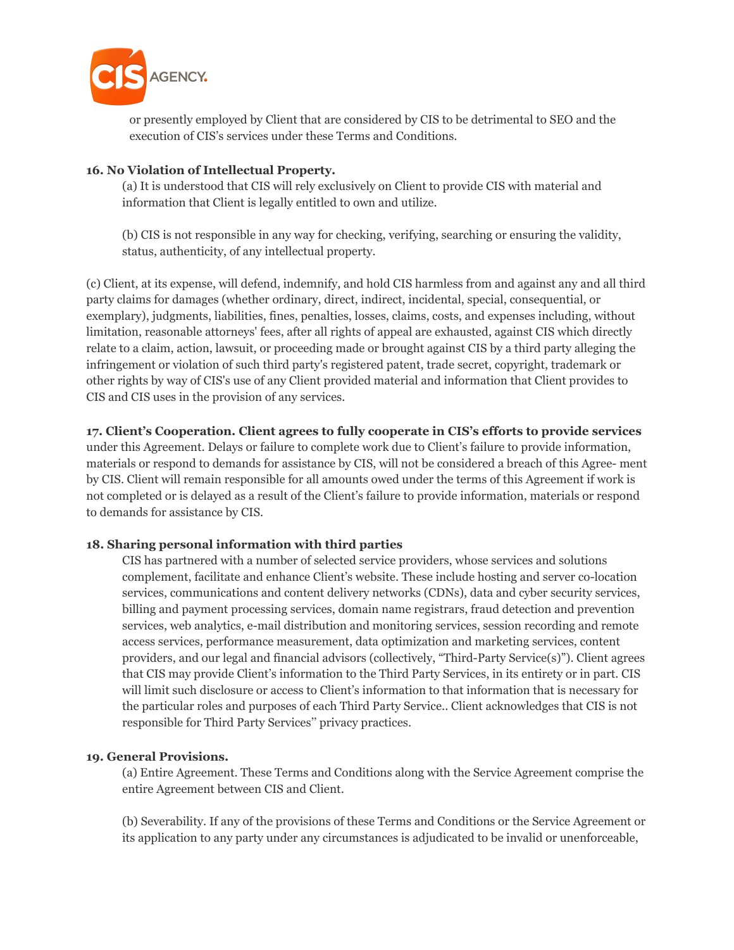

or presently employed by Client that are considered by CIS to be detrimental to SEO and the execution of CIS's services under these Terms and Conditions.

## **16. No Violation of Intellectual Property.**

(a) It is understood that CIS will rely exclusively on Client to provide CIS with material and information that Client is legally entitled to own and utilize.

(b) CIS is not responsible in any way for checking, verifying, searching or ensuring the validity, status, authenticity, of any intellectual property.

(c) Client, at its expense, will defend, indemnify, and hold CIS harmless from and against any and all third party claims for damages (whether ordinary, direct, indirect, incidental, special, consequential, or exemplary), judgments, liabilities, fines, penalties, losses, claims, costs, and expenses including, without limitation, reasonable attorneys' fees, after all rights of appeal are exhausted, against CIS which directly relate to a claim, action, lawsuit, or proceeding made or brought against CIS by a third party alleging the infringement or violation of such third party's registered patent, trade secret, copyright, trademark or other rights by way of CIS's use of any Client provided material and information that Client provides to CIS and CIS uses in the provision of any services.

## **17. Client's Cooperation. Client agrees to fully cooperate in CIS's efforts to provide services**

under this Agreement. Delays or failure to complete work due to Client's failure to provide information, materials or respond to demands for assistance by CIS, will not be considered a breach of this Agree- ment by CIS. Client will remain responsible for all amounts owed under the terms of this Agreement if work is not completed or is delayed as a result of the Client's failure to provide information, materials or respond to demands for assistance by CIS.

# **18. Sharing personal information with third parties**

CIS has partnered with a number of selected service providers, whose services and solutions complement, facilitate and enhance Client's website. These include hosting and server co-location services, communications and content delivery networks (CDNs), data and cyber security services, billing and payment processing services, domain name registrars, fraud detection and prevention services, web analytics, e-mail distribution and monitoring services, session recording and remote access services, performance measurement, data optimization and marketing services, content providers, and our legal and financial advisors (collectively, "Third-Party Service(s)"). Client agrees that CIS may provide Client's information to the Third Party Services, in its entirety or in part. CIS will limit such disclosure or access to Client's information to that information that is necessary for the particular roles and purposes of each Third Party Service.. Client acknowledges that CIS is not responsible for Third Party Services'' privacy practices.

## **19. General Provisions.**

(a) Entire Agreement. These Terms and Conditions along with the Service Agreement comprise the entire Agreement between CIS and Client.

(b) Severability. If any of the provisions of these Terms and Conditions or the Service Agreement or its application to any party under any circumstances is adjudicated to be invalid or unenforceable,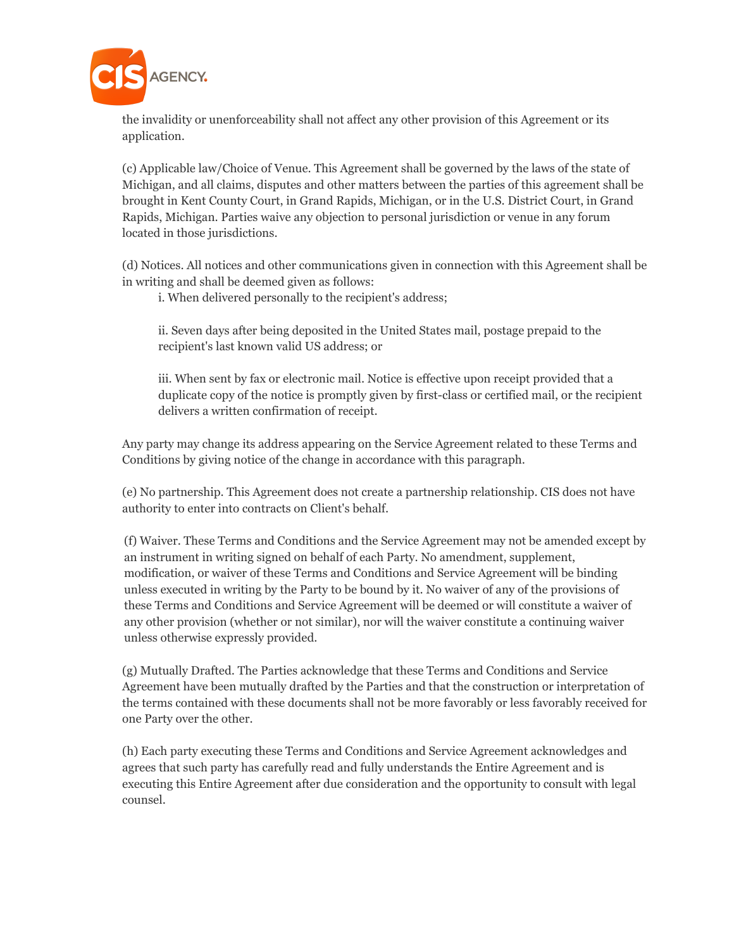

the invalidity or unenforceability shall not affect any other provision of this Agreement or its application.

(c) Applicable law/Choice of Venue. This Agreement shall be governed by the laws of the state of Michigan, and all claims, disputes and other matters between the parties of this agreement shall be brought in Kent County Court, in Grand Rapids, Michigan, or in the U.S. District Court, in Grand Rapids, Michigan. Parties waive any objection to personal jurisdiction or venue in any forum located in those jurisdictions.

(d) Notices. All notices and other communications given in connection with this Agreement shall be in writing and shall be deemed given as follows:

i. When delivered personally to the recipient's address;

ii. Seven days after being deposited in the United States mail, postage prepaid to the recipient's last known valid US address; or

iii. When sent by fax or electronic mail. Notice is effective upon receipt provided that a duplicate copy of the notice is promptly given by first-class or certified mail, or the recipient delivers a written confirmation of receipt.

Any party may change its address appearing on the Service Agreement related to these Terms and Conditions by giving notice of the change in accordance with this paragraph.

(e) No partnership. This Agreement does not create a partnership relationship. CIS does not have authority to enter into contracts on Client's behalf.

(f) Waiver. These Terms and Conditions and the Service Agreement may not be amended except by an instrument in writing signed on behalf of each Party. No amendment, supplement, modification, or waiver of these Terms and Conditions and Service Agreement will be binding unless executed in writing by the Party to be bound by it. No waiver of any of the provisions of these Terms and Conditions and Service Agreement will be deemed or will constitute a waiver of any other provision (whether or not similar), nor will the waiver constitute a continuing waiver unless otherwise expressly provided.

(g) Mutually Drafted. The Parties acknowledge that these Terms and Conditions and Service Agreement have been mutually drafted by the Parties and that the construction or interpretation of the terms contained with these documents shall not be more favorably or less favorably received for one Party over the other.

(h) Each party executing these Terms and Conditions and Service Agreement acknowledges and agrees that such party has carefully read and fully understands the Entire Agreement and is executing this Entire Agreement after due consideration and the opportunity to consult with legal counsel.